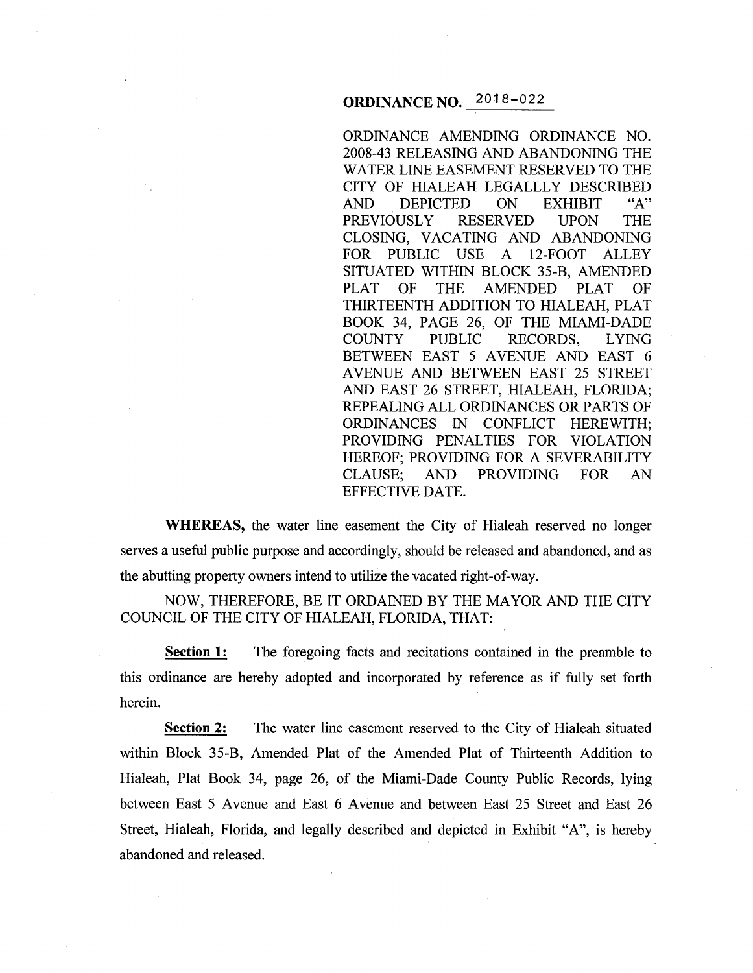## **ORDINANCE NO.** 2018-022

ORDINANCE AMENDING ORDINANCE NO. 2008-43 RELEASING AND ABANDONING THE WATER LINE EASEMENT RESERVED TO THE CITY OF HIALEAH LEGALLLY DESCRIBED AND DEPICTED ON EXHIBIT "A"<br>PREVIOUSLY RESERVED UPON THE PREVIOUSLY RESERVED UPON THE CLOSING, VACATING AND ABANDONING FOR PUBLIC USE A 12-FOOT ALLEY SITUATED WITHIN BLOCK 35-B, AMENDED PLAT OF THE AMENDED PLAT OF THIRTEENTH ADDITION TO HIALEAH, PLAT BOOK 34, PAGE 26, OF THE MIAMI-DADE COUNTY PUBLIC RECORDS, LYING BETWEEN EAST 5 AVENUE AND EAST 6 A VENUE AND BETWEEN EAST 25 STREET AND EAST 26 STREET, HIALEAH, FLORIDA; REPEALING ALL ORDINANCES OR PARTS OF ORDINANCES IN CONFLICT HEREWITH; PROVIDING PENALTIES FOR VIOLATION HEREOF; PROVIDING FOR A SEVERABILITY CLAUSE; AND PROVIDING FOR AN EFFECTIVE DATE.

**WHEREAS,** the water line easement the City of Hialeah reserved no longer serves a useful public purpose and accordingly, should be released and abandoned, and as the abutting property owners intend to utilize the vacated right-of-way.

NOW, THEREFORE, BE IT ORDAINED BY THE MAYOR AND THE CITY COUNCIL OF THE CITY OF HIALEAH, FLORIDA, THAT:

**Section 1:** The foregoing facts and recitations contained in the preamble to this ordinance are hereby adopted and incorporated by reference as if fully set forth herein.

**<u>Section 2:</u>** The water line easement reserved to the City of Hialeah situated within Block 35-B, Amended Plat of the Amended Plat of Thirteenth Addition to Hialeah, Plat Book 34, page 26, of the Miami-Dade County Public Records, lying between East 5 Avenue and East 6 Avenue and between East 25 Street and East 26 Street, Hialeah, Florida, and legally described and depicted in Exhibit "A", is hereby abandoned and released.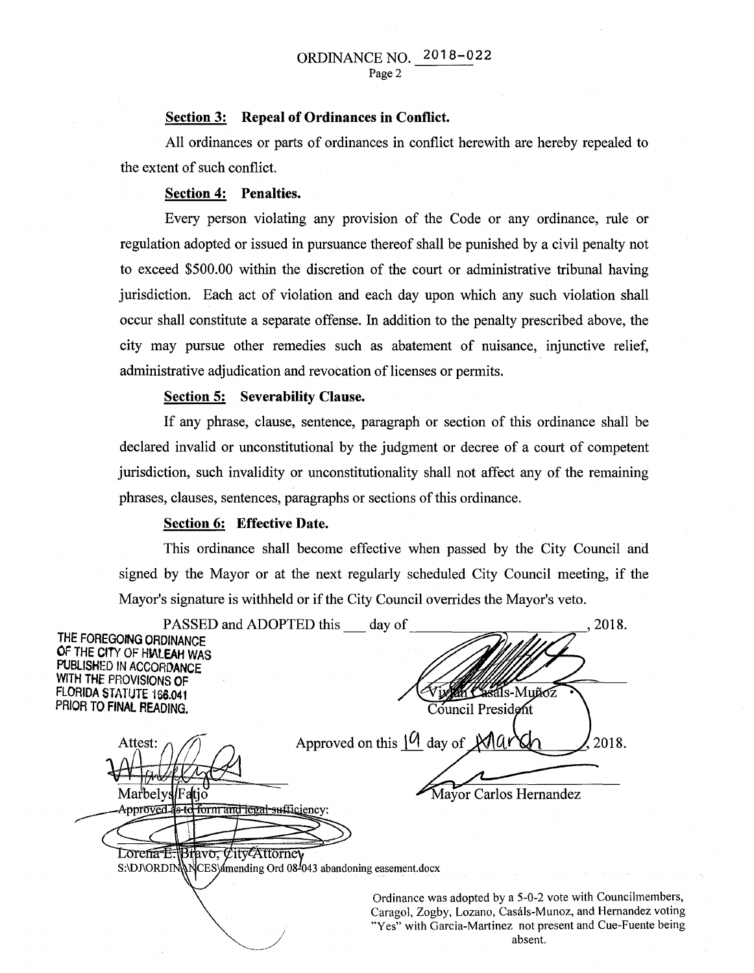## ORDINANCE NO. 2018-022 Page 2

#### Section 3: Repeal of Ordinances in Conflict.

All ordinances or parts of ordinances in conflict herewith are hereby repealed to the extent of such conflict.

#### Section 4: Penalties.

Every person violating any provision of the Code or any ordinance, rule or regulation adopted or issued in pursuance thereof shall be punished by a civil penalty not to exceed \$500.00 within the discretion of the court or administrative tribunal having jurisdiction. Each act of violation and each day upon which any such violation shall occur shall constitute a separate offense. In addition to the penalty prescribed above, the city may pursue other remedies such as abatement of nuisance, injunctive relief, administrative adjudication and revocation of licenses or permits.

#### Section 5: Severability Clause.

If any phrase, clause, sentence, paragraph or section of this ordinance shall be declared invalid or unconstitutional by the judgment or decree of a court of competent jurisdiction, such invalidity or unconstitutionality shall not affect any of the remaining phrases, clauses, sentences, paragraphs or sections of this ordinance.

#### Section 6: Effective Date.

This ordinance shall become effective when passed by the City Council and signed by the Mayor or at the next regularly scheduled City Council meeting, if the Mayor's signature is withheld or if the City Council overrides the Mayor's veto.

| PASSED and ADOPTED this day of                                 | 2018.                                                                                                                    |
|----------------------------------------------------------------|--------------------------------------------------------------------------------------------------------------------------|
| THE FOREGOING ORDINANCE                                        |                                                                                                                          |
| OF THE CITY OF HIALEAH WAS<br>PUBLISHED IN ACCORDANCE          |                                                                                                                          |
| WITH THE PROVISIONS OF                                         |                                                                                                                          |
| FLORIDA STATUTE 166.041                                        | m Casals-Muñoz                                                                                                           |
| PRIOR TO FINAL READING.                                        | Council President                                                                                                        |
|                                                                |                                                                                                                          |
| Attest:                                                        | Approved on this $10$ day of March<br>2018.                                                                              |
|                                                                |                                                                                                                          |
|                                                                |                                                                                                                          |
| Marbelys/Fatio                                                 | Mayor Carlos Hernandez                                                                                                   |
| Approved as to form and legal sufficiency:                     |                                                                                                                          |
|                                                                |                                                                                                                          |
| Lorena E. Bravo, City Attorney                                 |                                                                                                                          |
| S:\DJ\ORDIN\\NCES\dmending Ord 08-043 abandoning easement.docx |                                                                                                                          |
|                                                                |                                                                                                                          |
|                                                                | Ordinance was adopted by a 5-0-2 vote with Councilmembers,<br>Caragol, Zogby, Lozano, Casáls-Munoz, and Hernandez voting |
|                                                                | "Yes" with Garcia-Martinez not present and Cue-Fuente being                                                              |

absent.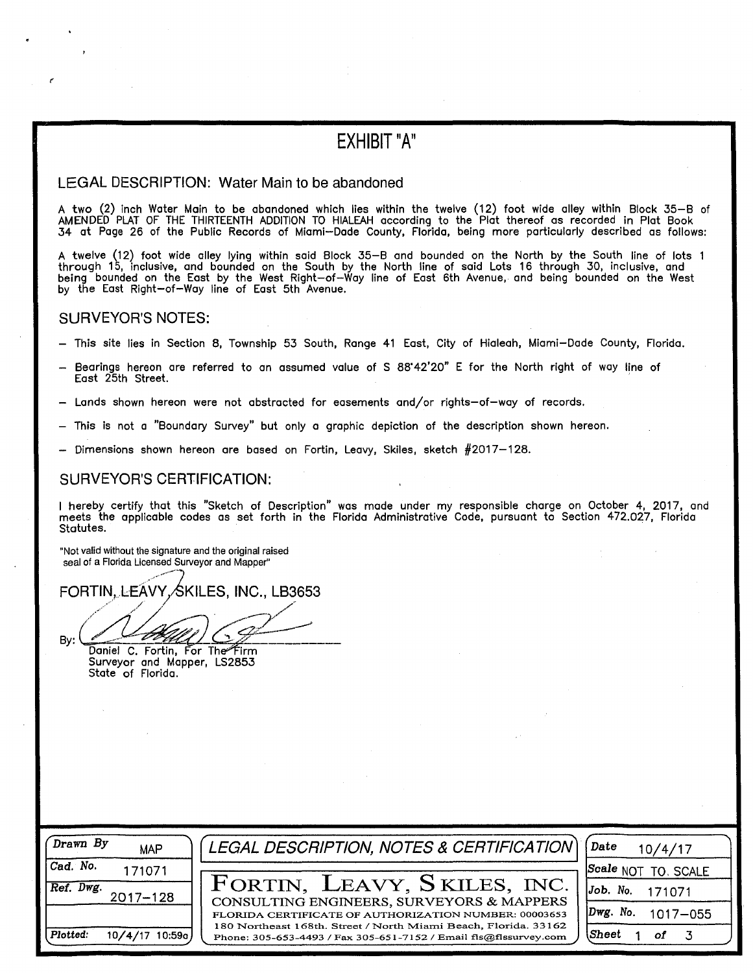# EXHIBIT "A"

#### LEGAL DESCRIPTION: Water Main to be abandoned

A two (2) inch Water Main to be abandoned which lies within the twelve (12) foot wide alley within Block 35-B of AMENDED PLAT OF THE THIRTEENTH ADDITION TO HIALEAH according to the Plat thereof as recorded in Plat Book 34 at Page 26 of the Public Records of Miami-Dade County, Florida, being more particularly described as follows:

A twelve (12) foot wide alley lying within said Block 35-8 and bounded on the North by the South line of lots 1 through 15, inclusive, and bounded on the South by the North line of said Lots 16 through 30, inclusive, and being bounded on the East by the West Right-of-Way line of East 6th Avenue, and being bounded on the West by the East Right-of-Way line of East 5th Avenue.

### SURVEYOR'S NOTES:

- This site lies in Section 8, Township 53 South, Range 41 East, City of Hialeah, Miami-Dade County, Florida.
- Bearings hereon are referred to an assumed value of S 88"42'20" E for the North right of way line of East 25th Street.
- Lands shown hereon were not abstracted for easements and/or rights-of-way of records.
- This is not a "Boundary Survey" but only a graphic depiction of the description shown hereon.
- Dimensions shown hereon are based on Fortin, Leavy, Skiles, sketch  $#2017-128$ .

#### SURVEYOR'S CERTIFICATION:

I hereby certify that this "Sketch of Description" was made under my responsible charge on October 4, 2017, and meets the applicable codes as set forth in the Florida Administrative Code, pursuant to Section 472.027, Florida Statutes.

"Not valid without the signature and the original raised seal of a Florida Licensed Surveyor and Mapper"

FORTIN, LEAVY, SKILES, INC., LB3653

/~~· ...... *-)../' / 1 00 ( 0 -* $\mathsf{By:}\n \begin{array}{c}\n \overbrace{\mathsf{Daniel}}\n \text{C. For tin, For The Firm}\n \end{array}$ 

Surveyor and Mapper, LS2853 State of Florida.

| Drawn By<br><b>MAP</b>        | $\sqrt{ }$ LEGAL DESCRIPTION, NOTES & CERTIFICATION $\sqrt{ }$                                                                      | Date<br>10/4/17               |
|-------------------------------|-------------------------------------------------------------------------------------------------------------------------------------|-------------------------------|
| Cad. No.<br>171071            |                                                                                                                                     | $ Scale$ NOT<br>TO. SCALE     |
| Ref. Dwg.<br>$2017 - 128$     | FORTIN, LEAVY, SKILES, INC.<br>CONSULTING ENGINEERS, SURVEYORS & MAPPERS                                                            | $Job.$ No.<br>171071          |
|                               | FLORIDA CERTIFICATE OF AUTHORIZATION NUMBER: 00003653                                                                               | $Dwg.$ No.<br>$1017 - 055$    |
| Plotted:<br>10/4/17<br>10:59a | 180 Northeast 168th. Street / North Miami Beach, Florida. 33162<br>Phone: 305-653-4493 / Fax 305-651-7152 / Email fls@flssurvey.com | $\sf\scriptstyle Sheet$<br>οf |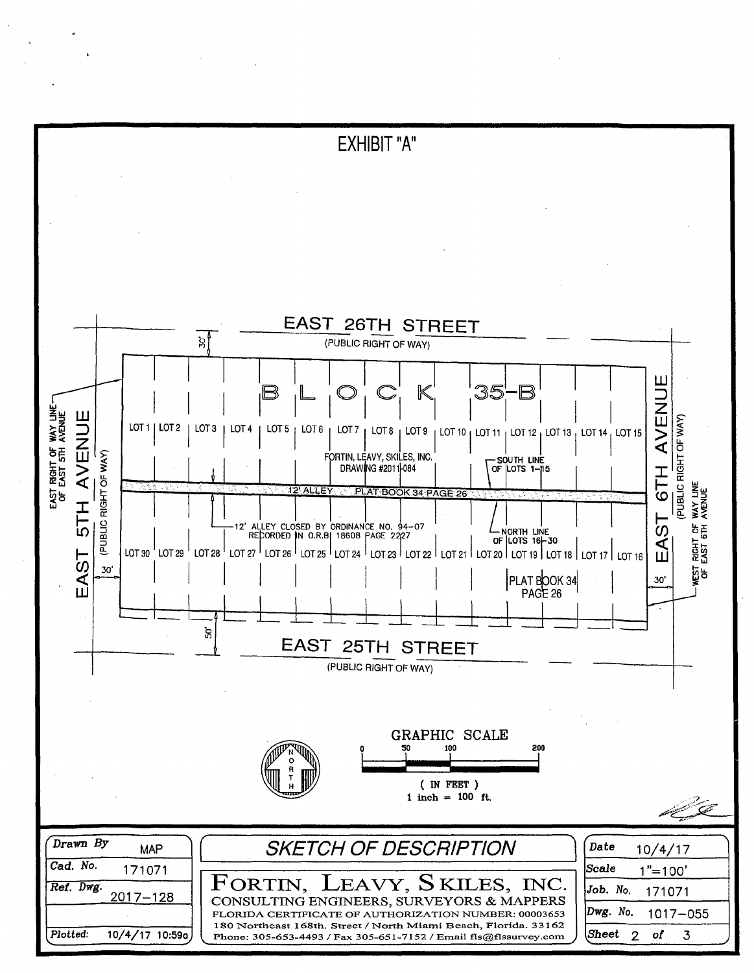